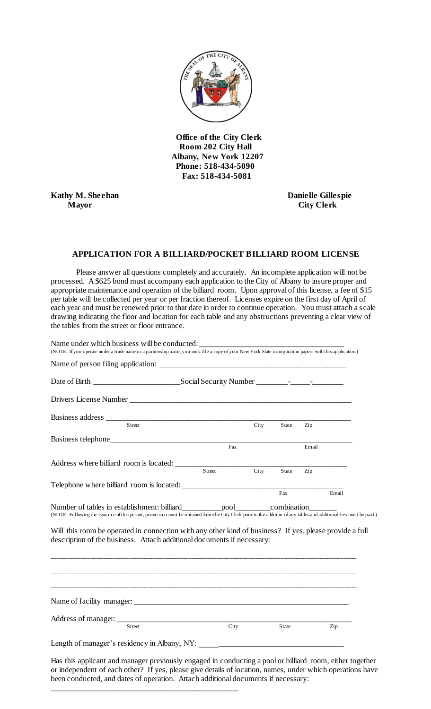

 **Office of the City Clerk Room 202 City Hall Albany, New York 12207 Phone: 518-434-5090 Fax: 518-434-5081** 

**Kathy M. Sheehan Danielle Gillespie Mayor City Clerk**

Name under which business will be conducted:

## **APPLICATION FOR A BILLIARD/POCKET BILLIARD ROOM LICENSE**

Please answer all questions completely and accurately. An incomplete application will not be processed. A \$625 bond must accompany each application to the City of Albany to insure proper and appropriate maintenance and operation of the billiard room. Upon approval of this license, a fee of \$15 per table will be collected per year or per fraction thereof. Licenses expire on the first day of April of each year and must be renewed prior to that date in order to continue operation. You must attach a s cale drawing indicating the floor and location for each table and any obstructions preventing a clear view of the tables from the street or floor entrance.

|                                                                                                                                                                                                                                                                                                                                                           |        | City | State | Zip   |       |
|-----------------------------------------------------------------------------------------------------------------------------------------------------------------------------------------------------------------------------------------------------------------------------------------------------------------------------------------------------------|--------|------|-------|-------|-------|
|                                                                                                                                                                                                                                                                                                                                                           |        |      |       |       |       |
|                                                                                                                                                                                                                                                                                                                                                           | Fax    |      |       | Email |       |
|                                                                                                                                                                                                                                                                                                                                                           |        |      |       |       |       |
|                                                                                                                                                                                                                                                                                                                                                           | Street | City | State | Zip   |       |
|                                                                                                                                                                                                                                                                                                                                                           |        |      |       |       |       |
|                                                                                                                                                                                                                                                                                                                                                           |        |      | Fax   |       | Email |
| Number of tables in establishment: billiard___________pool___________combination_______                                                                                                                                                                                                                                                                   |        |      |       |       |       |
| (NOTE: Following the issuance of this permit, permission must be obtained from the City Clerk prior to the addition of any tables and additional fees must be paid.)<br>Will this room be operated in connection with any other kind of business? If yes, please provide a full<br>description of the business. Attach additional documents if necessary: |        |      |       |       |       |
|                                                                                                                                                                                                                                                                                                                                                           |        |      |       |       |       |
|                                                                                                                                                                                                                                                                                                                                                           |        |      |       |       |       |
| <b>Street</b>                                                                                                                                                                                                                                                                                                                                             | City   |      | State |       | Zip   |
|                                                                                                                                                                                                                                                                                                                                                           |        |      |       |       |       |

been conducted, and dates of operation. Attach additional documents if necessary:

\_\_\_\_\_\_\_\_\_\_\_\_\_\_\_\_\_\_\_\_\_\_\_\_\_\_\_\_\_\_\_\_\_\_\_\_\_\_\_\_\_\_\_\_\_\_\_\_